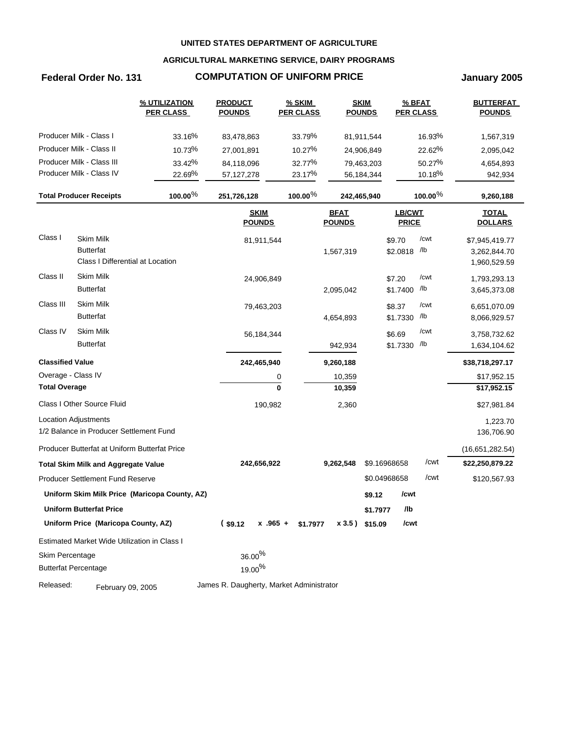## **AGRICULTURAL MARKETING SERVICE, DAIRY PROGRAMS**

# **Federal Order No. 131 COMPUTATION OF UNIFORM PRICE January 2005**

|                         |                                                                          | % UTILIZATION<br><b>PER CLASS</b>             | <b>PRODUCT</b><br><b>POUNDS</b>          | % SKIM<br><b>PER CLASS</b> |                              | <b>SKIM</b><br><b>POUNDS</b> | % BFAT<br><b>PER CLASS</b> |            | <b>BUTTERFAT</b><br><b>POUNDS</b>              |
|-------------------------|--------------------------------------------------------------------------|-----------------------------------------------|------------------------------------------|----------------------------|------------------------------|------------------------------|----------------------------|------------|------------------------------------------------|
|                         | Producer Milk - Class I                                                  | 33.16%                                        | 83,478,863                               | 33.79%                     |                              | 81,911,544                   |                            | 16.93%     | 1,567,319                                      |
|                         | Producer Milk - Class II                                                 | 10.73%                                        | 27,001,891                               | 10.27%                     |                              | 24,906,849                   |                            | 22.62%     | 2,095,042                                      |
|                         | Producer Milk - Class III                                                | 33.42%                                        | 84,118,096                               | 32.77%                     |                              | 79,463,203                   |                            | 50.27%     | 4,654,893                                      |
|                         | Producer Milk - Class IV                                                 | 22.69%                                        | 57,127,278                               | 23.17%                     |                              | 56,184,344                   |                            | 10.18%     | 942,934                                        |
|                         | <b>Total Producer Receipts</b>                                           | $100.00\%$                                    | 251,726,128                              | $100.00\%$                 |                              | 242,465,940                  |                            | $100.00\%$ | 9,260,188                                      |
|                         |                                                                          |                                               | <b>SKIM</b><br><b>POUNDS</b>             |                            | <b>BFAT</b><br><b>POUNDS</b> |                              | LB/CWT<br><b>PRICE</b>     |            | <b>TOTAL</b><br><b>DOLLARS</b>                 |
| Class I                 | <b>Skim Milk</b><br><b>Butterfat</b><br>Class I Differential at Location |                                               | 81,911,544                               |                            | 1,567,319                    |                              | \$9.70<br>\$2.0818 /lb     | /cwt       | \$7,945,419.77<br>3,262,844.70<br>1,960,529.59 |
| Class II                | <b>Skim Milk</b><br><b>Butterfat</b>                                     |                                               | 24,906,849                               |                            | 2,095,042                    |                              | \$7.20<br>\$1.7400 /lb     | /cwt       | 1,793,293.13<br>3,645,373.08                   |
| Class III               | Skim Milk<br><b>Butterfat</b>                                            |                                               | 79,463,203                               |                            | 4,654,893                    |                              | \$8.37<br>\$1.7330 /lb     | /cwt       | 6,651,070.09<br>8,066,929.57                   |
| Class IV                | <b>Skim Milk</b><br><b>Butterfat</b>                                     |                                               | 56,184,344                               |                            | 942,934                      |                              | \$6.69<br>\$1.7330 /lb     | /cwt       | 3,758,732.62<br>1,634,104.62                   |
| <b>Classified Value</b> |                                                                          |                                               | 242,465,940                              |                            | 9,260,188                    |                              |                            |            | \$38,718,297.17                                |
| Overage - Class IV      |                                                                          |                                               |                                          | 0                          | 10,359                       |                              |                            |            | \$17,952.15                                    |
| <b>Total Overage</b>    |                                                                          |                                               |                                          | $\mathbf{0}$               | 10,359                       |                              |                            |            | \$17,952.15                                    |
|                         | Class I Other Source Fluid                                               |                                               | 190,982                                  |                            | 2,360                        |                              |                            |            | \$27,981.84                                    |
|                         | Location Adjustments                                                     |                                               |                                          |                            |                              |                              |                            |            | 1,223.70                                       |
|                         | 1/2 Balance in Producer Settlement Fund                                  |                                               |                                          |                            |                              |                              |                            |            | 136,706.90                                     |
|                         | Producer Butterfat at Uniform Butterfat Price                            |                                               |                                          |                            |                              |                              |                            |            | (16,651,282.54)                                |
|                         | <b>Total Skim Milk and Aggregate Value</b>                               |                                               | 242,656,922                              |                            | 9,262,548                    |                              | \$9.16968658               | /cwt       | \$22,250,879.22                                |
|                         | Producer Settlement Fund Reserve                                         |                                               |                                          |                            |                              |                              | \$0.04968658               | /cwt       | \$120,567.93                                   |
|                         |                                                                          | Uniform Skim Milk Price (Maricopa County, AZ) |                                          |                            |                              | \$9.12                       | /cwt                       |            |                                                |
|                         | <b>Uniform Butterfat Price</b>                                           |                                               |                                          |                            |                              | \$1.7977                     | /lb                        |            |                                                |
|                         | Uniform Price (Maricopa County, AZ)                                      |                                               | (s9.12)<br>$x + 0.965 +$                 | \$1.7977                   |                              | x 3.5) \$15.09               | /cwt                       |            |                                                |
|                         | Estimated Market Wide Utilization in Class I                             |                                               |                                          |                            |                              |                              |                            |            |                                                |
| Skim Percentage         | <b>Butterfat Percentage</b>                                              |                                               | $36.00\%$<br>$19.00\%$                   |                            |                              |                              |                            |            |                                                |
| Released:               | February 09, 2005                                                        |                                               | James R. Daugherty, Market Administrator |                            |                              |                              |                            |            |                                                |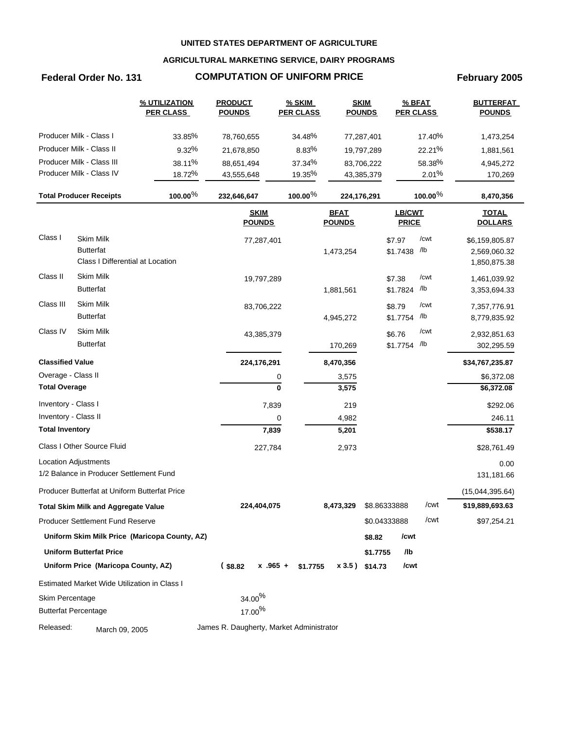## **AGRICULTURAL MARKETING SERVICE, DAIRY PROGRAMS**

## Federal Order No. 131 **COMPUTATION OF UNIFORM PRICE** February 2005

|                             |                                               | % UTILIZATION<br><b>PER CLASS</b>             | <b>PRODUCT</b><br><b>POUNDS</b>          | <b>% SKIM</b><br><b>PER CLASS</b> |                              | <b>SKIM</b><br><b>POUNDS</b> | % BFAT<br><b>PER CLASS</b> |            | <b>BUTTERFAT</b><br><b>POUNDS</b> |
|-----------------------------|-----------------------------------------------|-----------------------------------------------|------------------------------------------|-----------------------------------|------------------------------|------------------------------|----------------------------|------------|-----------------------------------|
|                             | Producer Milk - Class I                       | 33.85%                                        | 78,760,655                               | 34.48%                            |                              | 77,287,401                   |                            | 17.40%     | 1,473,254                         |
|                             | Producer Milk - Class II                      | 9.32%                                         | 21,678,850                               | 8.83%                             |                              | 19,797,289                   |                            | 22.21%     | 1,881,561                         |
|                             | Producer Milk - Class III                     | 38.11%                                        | 88,651,494                               | 37.34%                            |                              | 83,706,222                   |                            | 58.38%     | 4,945,272                         |
|                             | Producer Milk - Class IV                      | 18.72%                                        | 43,555,648                               | 19.35%                            |                              | 43,385,379                   |                            | 2.01%      | 170,269                           |
|                             | <b>Total Producer Receipts</b>                | $100.00\%$                                    | 232,646,647                              | $100.00\%$                        | 224,176,291                  |                              |                            | $100.00\%$ | 8,470,356                         |
|                             |                                               |                                               | <b>SKIM</b><br><b>POUNDS</b>             |                                   | <b>BFAT</b><br><b>POUNDS</b> |                              | LB/CWT<br><b>PRICE</b>     |            | <b>TOTAL</b><br><b>DOLLARS</b>    |
| Class I                     | <b>Skim Milk</b>                              |                                               | 77,287,401                               |                                   |                              |                              | \$7.97                     | /cwt       | \$6,159,805.87                    |
|                             | <b>Butterfat</b>                              |                                               |                                          |                                   | 1,473,254                    |                              | $$1.7438$ /lb              |            | 2,569,060.32                      |
|                             | Class I Differential at Location              |                                               |                                          |                                   |                              |                              |                            |            | 1,850,875.38                      |
| Class II                    | <b>Skim Milk</b>                              |                                               | 19,797,289                               |                                   |                              |                              | \$7.38                     | /cwt       | 1,461,039.92                      |
|                             | <b>Butterfat</b>                              |                                               |                                          |                                   | 1,881,561                    |                              | \$1.7824                   | /lb        | 3,353,694.33                      |
| Class III                   | <b>Skim Milk</b>                              |                                               | 83,706,222                               |                                   |                              |                              | \$8.79                     | /cwt       | 7,357,776.91                      |
|                             | <b>Butterfat</b>                              |                                               |                                          |                                   | 4,945,272                    |                              | \$1.7754                   | /lb        | 8,779,835.92                      |
| Class IV                    | <b>Skim Milk</b>                              |                                               | 43,385,379                               |                                   |                              |                              | \$6.76                     | /cwt       | 2,932,851.63                      |
|                             | <b>Butterfat</b>                              |                                               |                                          |                                   | 170,269                      |                              | \$1.7754 /lb               |            | 302,295.59                        |
| <b>Classified Value</b>     |                                               |                                               | 224,176,291                              |                                   | 8,470,356                    |                              |                            |            | \$34,767,235.87                   |
| Overage - Class II          |                                               |                                               |                                          | 0                                 | 3,575                        |                              |                            |            | \$6,372.08                        |
| <b>Total Overage</b>        |                                               |                                               |                                          | $\mathbf{0}$                      | 3,575                        |                              |                            |            | \$6,372.08                        |
| Inventory - Class I         |                                               |                                               |                                          | 7,839                             | 219                          |                              |                            |            | \$292.06                          |
| Inventory - Class II        |                                               |                                               |                                          | 0                                 | 4,982                        |                              |                            |            | 246.11                            |
| <b>Total Inventory</b>      |                                               |                                               |                                          | 7,839                             | 5,201                        |                              |                            |            | \$538.17                          |
|                             | Class I Other Source Fluid                    |                                               | 227,784                                  |                                   | 2,973                        |                              |                            |            | \$28,761.49                       |
|                             | Location Adjustments                          |                                               |                                          |                                   |                              |                              |                            |            | 0.00                              |
|                             | 1/2 Balance in Producer Settlement Fund       |                                               |                                          |                                   |                              |                              |                            |            | 131,181.66                        |
|                             | Producer Butterfat at Uniform Butterfat Price |                                               |                                          |                                   |                              |                              |                            |            | (15,044,395.64)                   |
|                             | <b>Total Skim Milk and Aggregate Value</b>    |                                               | 224,404,075                              |                                   | 8,473,329                    | \$8.86333888                 |                            | /cwt       | \$19,889,693.63                   |
|                             | <b>Producer Settlement Fund Reserve</b>       |                                               |                                          |                                   |                              | \$0.04333888                 |                            | /cwt       | \$97,254.21                       |
|                             |                                               | Uniform Skim Milk Price (Maricopa County, AZ) |                                          |                                   |                              | \$8.82                       | /cwt                       |            |                                   |
|                             | <b>Uniform Butterfat Price</b>                |                                               |                                          |                                   |                              | \$1.7755                     | /lb                        |            |                                   |
|                             | Uniform Price (Maricopa County, AZ)           |                                               | (s3.82)                                  | $x$ .965 + \$1.7755               |                              | $x3.5$ ) \$14.73             | /cwt                       |            |                                   |
|                             | Estimated Market Wide Utilization in Class I  |                                               |                                          |                                   |                              |                              |                            |            |                                   |
| Skim Percentage             |                                               |                                               | $34.00\%$                                |                                   |                              |                              |                            |            |                                   |
| <b>Butterfat Percentage</b> |                                               |                                               | 17.00 <sup>%</sup>                       |                                   |                              |                              |                            |            |                                   |
| Released:                   | March 09, 2005                                |                                               | James R. Daugherty, Market Administrator |                                   |                              |                              |                            |            |                                   |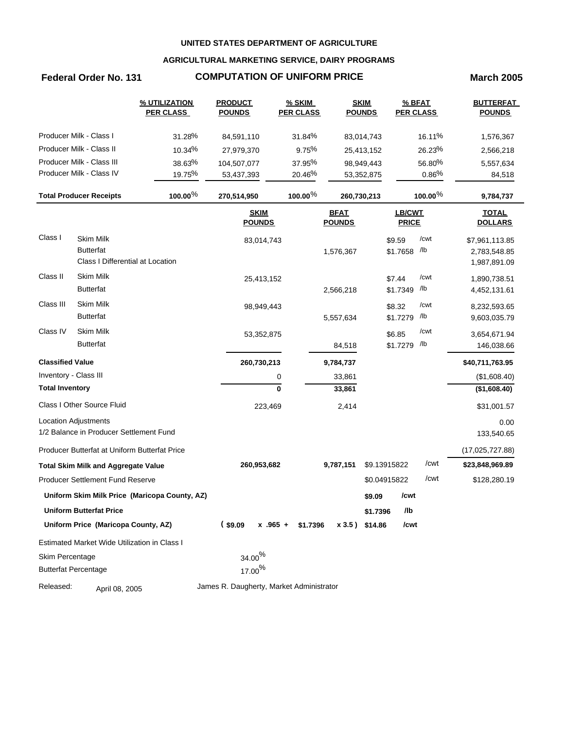## **AGRICULTURAL MARKETING SERVICE, DAIRY PROGRAMS**

## **Federal Order No. 131 COMPUTATION OF UNIFORM PRICE March 2005**

|                         |                                               | % UTILIZATION<br><b>PER CLASS</b>             | <b>PRODUCT</b><br><b>POUNDS</b>          | % SKIM<br><b>PER CLASS</b> |               | <b>SKIM</b><br><b>POUNDS</b> |               | % BFAT<br><b>PER CLASS</b> | <b>BUTTERFAT</b><br><b>POUNDS</b> |
|-------------------------|-----------------------------------------------|-----------------------------------------------|------------------------------------------|----------------------------|---------------|------------------------------|---------------|----------------------------|-----------------------------------|
|                         | Producer Milk - Class I                       | 31.28%                                        | 84,591,110                               | 31.84%                     |               | 83,014,743                   |               | 16.11%                     | 1,576,367                         |
|                         | Producer Milk - Class II                      | 10.34%                                        | 27,979,370                               | 9.75%                      |               | 25,413,152                   |               | 26.23%                     | 2,566,218                         |
|                         | Producer Milk - Class III                     | 38.63%                                        | 104,507,077                              | 37.95%                     |               | 98,949,443                   |               | 56.80%                     | 5,557,634                         |
|                         | Producer Milk - Class IV                      | 19.75%                                        | 53,437,393                               | 20.46%                     |               | 53,352,875                   |               | 0.86%                      | 84,518                            |
|                         | <b>Total Producer Receipts</b>                | $100.00\%$                                    | 270,514,950                              | $100.00\%$                 |               | 260,730,213                  |               | $100.00\%$                 | 9,784,737                         |
|                         |                                               |                                               | <b>SKIM</b>                              |                            | <b>BFAT</b>   |                              | <b>LB/CWT</b> |                            | <b>TOTAL</b>                      |
|                         |                                               |                                               | <b>POUNDS</b>                            |                            | <b>POUNDS</b> |                              | <b>PRICE</b>  |                            | <b>DOLLARS</b>                    |
| Class I                 | <b>Skim Milk</b>                              |                                               | 83,014,743                               |                            |               |                              | \$9.59        | /cwt                       | \$7,961,113.85                    |
|                         | <b>Butterfat</b>                              |                                               |                                          |                            | 1,576,367     |                              | \$1.7658 /lb  |                            | 2,783,548.85                      |
|                         | Class I Differential at Location              |                                               |                                          |                            |               |                              |               |                            | 1,987,891.09                      |
| Class II                | <b>Skim Milk</b>                              |                                               | 25,413,152                               |                            |               |                              | \$7.44        | /cwt                       | 1,890,738.51                      |
|                         | <b>Butterfat</b>                              |                                               |                                          |                            | 2,566,218     |                              | \$1.7349      | /lb                        | 4,452,131.61                      |
| Class III               | <b>Skim Milk</b>                              |                                               | 98,949,443                               |                            |               |                              | \$8.32        | /cwt                       | 8,232,593.65                      |
|                         | <b>Butterfat</b>                              |                                               |                                          |                            | 5,557,634     |                              | \$1.7279      | /lb                        | 9,603,035.79                      |
| Class IV                | <b>Skim Milk</b>                              |                                               | 53,352,875                               |                            |               |                              | \$6.85        | /cwt                       | 3,654,671.94                      |
|                         | <b>Butterfat</b>                              |                                               |                                          |                            | 84,518        |                              | \$1.7279 /lb  |                            | 146,038.66                        |
| <b>Classified Value</b> |                                               |                                               | 260,730,213                              |                            | 9,784,737     |                              |               |                            | \$40,711,763.95                   |
| Inventory - Class III   |                                               |                                               |                                          | 0                          | 33,861        |                              |               |                            | (\$1,608.40)                      |
| <b>Total Inventory</b>  |                                               |                                               |                                          | $\mathbf 0$                | 33,861        |                              |               |                            | (\$1,608.40)                      |
|                         | Class I Other Source Fluid                    |                                               | 223,469                                  |                            | 2,414         |                              |               |                            | \$31,001.57                       |
|                         | <b>Location Adjustments</b>                   |                                               |                                          |                            |               |                              |               |                            | 0.00                              |
|                         | 1/2 Balance in Producer Settlement Fund       |                                               |                                          |                            |               |                              |               |                            | 133,540.65                        |
|                         | Producer Butterfat at Uniform Butterfat Price |                                               |                                          |                            |               |                              |               |                            | (17,025,727.88)                   |
|                         | <b>Total Skim Milk and Aggregate Value</b>    |                                               | 260,953,682                              |                            | 9,787,151     |                              | \$9.13915822  | /cwt                       | \$23,848,969.89                   |
|                         | <b>Producer Settlement Fund Reserve</b>       |                                               |                                          |                            |               |                              | \$0.04915822  | /cwt                       | \$128,280.19                      |
|                         |                                               | Uniform Skim Milk Price (Maricopa County, AZ) |                                          |                            |               | \$9.09                       | /cwt          |                            |                                   |
|                         | <b>Uniform Butterfat Price</b>                |                                               |                                          |                            |               | \$1.7396                     | /lb           |                            |                                   |
|                         | Uniform Price (Maricopa County, AZ)           |                                               | (s9.09)<br>$x$ .965 +                    | \$1.7396                   |               | x 3.5) \$14.86               | /cwt          |                            |                                   |
|                         | Estimated Market Wide Utilization in Class I  |                                               |                                          |                            |               |                              |               |                            |                                   |
| Skim Percentage         |                                               |                                               | $34.00\%$                                |                            |               |                              |               |                            |                                   |
|                         | <b>Butterfat Percentage</b>                   |                                               | 17.00 <sup>%</sup>                       |                            |               |                              |               |                            |                                   |
| Released:               | April 08, 2005                                |                                               | James R. Daugherty, Market Administrator |                            |               |                              |               |                            |                                   |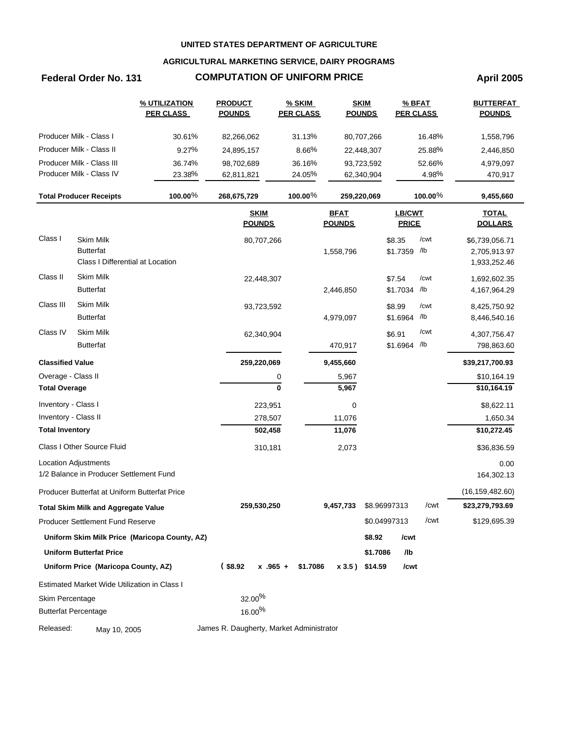## **AGRICULTURAL MARKETING SERVICE, DAIRY PROGRAMS**

# **Federal Order No. 131 COMPUTATION OF UNIFORM PRICE April 2005**

|                         |                                               | % UTILIZATION<br><b>PER CLASS</b>             | <b>PRODUCT</b><br><b>POUNDS</b>          | <b>% SKIM</b><br><b>PER CLASS</b> |                              | <b>SKIM</b><br><b>POUNDS</b> | % BFAT<br><b>PER CLASS</b> |            | <b>BUTTERFAT</b><br><b>POUNDS</b> |
|-------------------------|-----------------------------------------------|-----------------------------------------------|------------------------------------------|-----------------------------------|------------------------------|------------------------------|----------------------------|------------|-----------------------------------|
|                         | Producer Milk - Class I                       | 30.61%                                        | 82,266,062                               | 31.13%                            |                              | 80,707,266                   |                            | 16.48%     | 1,558,796                         |
|                         | Producer Milk - Class II                      | 9.27%                                         | 24,895,157                               | 8.66%                             |                              | 22,448,307                   |                            | 25.88%     | 2,446,850                         |
|                         | Producer Milk - Class III                     | 36.74%                                        | 98,702,689                               | 36.16%                            |                              | 93,723,592                   |                            | 52.66%     | 4,979,097                         |
|                         | Producer Milk - Class IV                      | 23.38%                                        | 62,811,821                               | 24.05%                            |                              | 62,340,904                   |                            | 4.98%      | 470,917                           |
|                         | <b>Total Producer Receipts</b>                | $100.00\%$                                    | 268,675,729                              | 100.00 $%$                        |                              | 259,220,069                  |                            | 100.00 $%$ | 9,455,660                         |
|                         |                                               |                                               | <b>SKIM</b><br><b>POUNDS</b>             |                                   | <b>BFAT</b><br><b>POUNDS</b> |                              | LB/CWT<br><b>PRICE</b>     |            | <b>TOTAL</b><br><b>DOLLARS</b>    |
| Class I                 | <b>Skim Milk</b>                              |                                               | 80,707,266                               |                                   |                              |                              | \$8.35                     | /cwt       | \$6,739,056.71                    |
|                         | <b>Butterfat</b>                              |                                               |                                          |                                   | 1,558,796                    |                              | \$1.7359 /lb               |            | 2,705,913.97                      |
|                         | Class I Differential at Location              |                                               |                                          |                                   |                              |                              |                            |            | 1,933,252.46                      |
| Class II                | Skim Milk                                     |                                               | 22,448,307                               |                                   |                              |                              | \$7.54                     | /cwt       | 1,692,602.35                      |
|                         | <b>Butterfat</b>                              |                                               |                                          |                                   | 2,446,850                    |                              | \$1.7034 /lb               |            | 4, 167, 964. 29                   |
| Class III               | <b>Skim Milk</b>                              |                                               | 93,723,592                               |                                   |                              |                              | \$8.99                     | /cwt       | 8,425,750.92                      |
|                         | <b>Butterfat</b>                              |                                               |                                          |                                   | 4,979,097                    |                              | \$1.6964 /b                |            | 8,446,540.16                      |
| Class IV                | <b>Skim Milk</b>                              |                                               | 62,340,904                               |                                   |                              |                              | \$6.91                     | /cwt       | 4,307,756.47                      |
|                         | <b>Butterfat</b>                              |                                               |                                          |                                   | 470,917                      |                              | \$1.6964 /lb               |            | 798,863.60                        |
| <b>Classified Value</b> |                                               |                                               | 259,220,069                              |                                   | 9,455,660                    |                              |                            |            | \$39,217,700.93                   |
| Overage - Class II      |                                               |                                               |                                          | 0                                 | 5,967                        |                              |                            |            | \$10,164.19                       |
| <b>Total Overage</b>    |                                               |                                               |                                          | $\mathbf{0}$                      | 5,967                        |                              |                            |            | \$10,164.19                       |
| Inventory - Class I     |                                               |                                               | 223,951                                  |                                   | 0                            |                              |                            |            | \$8,622.11                        |
| Inventory - Class II    |                                               |                                               | 278,507                                  |                                   | 11,076                       |                              |                            |            | 1,650.34                          |
| <b>Total Inventory</b>  |                                               |                                               | 502,458                                  |                                   | 11,076                       |                              |                            |            | \$10,272.45                       |
|                         | Class I Other Source Fluid                    |                                               | 310,181                                  |                                   | 2,073                        |                              |                            |            | \$36,836.59                       |
|                         | <b>Location Adjustments</b>                   |                                               |                                          |                                   |                              |                              |                            |            | 0.00                              |
|                         | 1/2 Balance in Producer Settlement Fund       |                                               |                                          |                                   |                              |                              |                            |            | 164,302.13                        |
|                         | Producer Butterfat at Uniform Butterfat Price |                                               |                                          |                                   |                              |                              |                            |            | (16, 159, 482.60)                 |
|                         | <b>Total Skim Milk and Aggregate Value</b>    |                                               | 259,530,250                              |                                   | 9,457,733                    | \$8.96997313                 |                            | /cwt       | \$23,279,793.69                   |
|                         | <b>Producer Settlement Fund Reserve</b>       |                                               |                                          |                                   |                              | \$0.04997313                 |                            | /cwt       | \$129,695.39                      |
|                         |                                               | Uniform Skim Milk Price (Maricopa County, AZ) |                                          |                                   |                              | \$8.92                       | /cwt                       |            |                                   |
|                         | <b>Uniform Butterfat Price</b>                |                                               |                                          |                                   |                              | \$1.7086                     | /lb                        |            |                                   |
|                         | Uniform Price (Maricopa County, AZ)           |                                               | $($ \$8.92                               | $x$ .965 +<br>\$1.7086            |                              | x 3.5) \$14.59               | /cwt                       |            |                                   |
|                         | Estimated Market Wide Utilization in Class I  |                                               |                                          |                                   |                              |                              |                            |            |                                   |
| Skim Percentage         |                                               |                                               | 32.00%                                   |                                   |                              |                              |                            |            |                                   |
|                         | <b>Butterfat Percentage</b>                   |                                               | 16.00%                                   |                                   |                              |                              |                            |            |                                   |
| Released:               | May 10, 2005                                  |                                               | James R. Daugherty, Market Administrator |                                   |                              |                              |                            |            |                                   |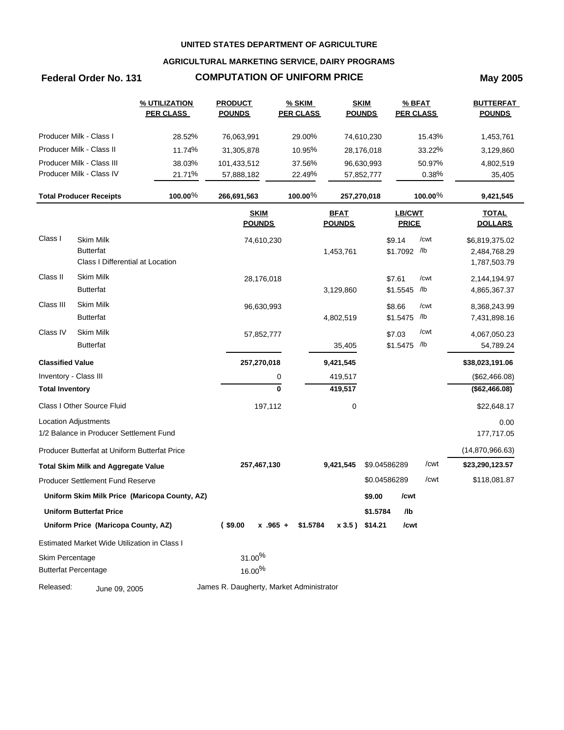## **AGRICULTURAL MARKETING SERVICE, DAIRY PROGRAMS**

# **Federal Order No. 131 COMPUTATION OF UNIFORM PRICE May 2005**

|                         |                                                      | <b>% UTILIZATION</b><br><b>PER CLASS</b>      | <b>PRODUCT</b><br><b>POUNDS</b>          | <b>% SKIM</b><br><b>PER CLASS</b> |                              | <b>SKIM</b><br><b>POUNDS</b> | % BFAT<br><b>PER CLASS</b>    |            | <b>BUTTERFAT</b><br><b>POUNDS</b> |
|-------------------------|------------------------------------------------------|-----------------------------------------------|------------------------------------------|-----------------------------------|------------------------------|------------------------------|-------------------------------|------------|-----------------------------------|
|                         | Producer Milk - Class I                              | 28.52%                                        | 76,063,991                               | 29.00%                            |                              | 74,610,230                   |                               | 15.43%     | 1,453,761                         |
|                         | Producer Milk - Class II                             | 11.74%                                        | 31,305,878                               | 10.95%                            |                              | 28,176,018                   |                               | 33.22%     | 3,129,860                         |
|                         | Producer Milk - Class III                            | 38.03%                                        | 101,433,512                              | 37.56%                            |                              | 96,630,993                   |                               | 50.97%     | 4,802,519                         |
|                         | Producer Milk - Class IV                             | 21.71%                                        | 57,888,182                               | 22.49%                            |                              | 57,852,777                   |                               | 0.38%      | 35,405                            |
|                         | <b>Total Producer Receipts</b>                       | 100.00%                                       | 266,691,563                              | 100.00%                           |                              | 257,270,018                  |                               | 100.00 $%$ | 9,421,545                         |
|                         |                                                      |                                               | <b>SKIM</b><br><b>POUNDS</b>             |                                   | <b>BFAT</b><br><b>POUNDS</b> |                              | <b>LB/CWT</b><br><b>PRICE</b> |            | <b>TOTAL</b><br><b>DOLLARS</b>    |
| Class I                 | <b>Skim Milk</b>                                     |                                               | 74,610,230                               |                                   |                              |                              | \$9.14                        | /cwt       | \$6,819,375.02                    |
|                         | <b>Butterfat</b><br>Class I Differential at Location |                                               |                                          |                                   | 1,453,761                    |                              | \$1.7092 /lb                  |            | 2,484,768.29<br>1,787,503.79      |
| Class II                | <b>Skim Milk</b>                                     |                                               | 28,176,018                               |                                   |                              |                              | \$7.61                        | /cwt       | 2,144,194.97                      |
|                         | <b>Butterfat</b>                                     |                                               |                                          |                                   | 3,129,860                    |                              | \$1.5545                      | /lb        | 4,865,367.37                      |
| Class III               | <b>Skim Milk</b>                                     |                                               | 96,630,993                               |                                   |                              |                              | \$8.66                        | /cwt       | 8,368,243.99                      |
|                         | <b>Butterfat</b>                                     |                                               |                                          |                                   | 4,802,519                    |                              | \$1.5475                      | /lb        | 7,431,898.16                      |
| Class IV                | <b>Skim Milk</b>                                     |                                               | 57,852,777                               |                                   |                              |                              | \$7.03                        | /cwt       | 4,067,050.23                      |
|                         | <b>Butterfat</b>                                     |                                               |                                          |                                   | 35,405                       |                              | \$1.5475 /lb                  |            | 54,789.24                         |
| <b>Classified Value</b> |                                                      |                                               | 257,270,018                              |                                   | 9,421,545                    |                              |                               |            | \$38,023,191.06                   |
| Inventory - Class III   |                                                      |                                               |                                          | 0                                 | 419,517                      |                              |                               |            | (\$62,466.08)                     |
| <b>Total Inventory</b>  |                                                      |                                               |                                          | $\mathbf 0$                       | 419,517                      |                              |                               |            | (\$62,466.08)                     |
|                         | Class I Other Source Fluid                           |                                               | 197,112                                  |                                   | 0                            |                              |                               |            | \$22,648.17                       |
|                         | Location Adjustments                                 |                                               |                                          |                                   |                              |                              |                               |            | 0.00                              |
|                         | 1/2 Balance in Producer Settlement Fund              |                                               |                                          |                                   |                              |                              |                               |            | 177,717.05                        |
|                         | Producer Butterfat at Uniform Butterfat Price        |                                               |                                          |                                   |                              |                              |                               |            | (14,870,966.63)                   |
|                         | <b>Total Skim Milk and Aggregate Value</b>           |                                               | 257,467,130                              |                                   | 9,421,545                    |                              | \$9.04586289                  | /cwt       | \$23,290,123.57                   |
|                         | Producer Settlement Fund Reserve                     |                                               |                                          |                                   |                              |                              | \$0.04586289                  | /cwt       | \$118,081.87                      |
|                         |                                                      | Uniform Skim Milk Price (Maricopa County, AZ) |                                          |                                   |                              | \$9.00                       | /cwt                          |            |                                   |
|                         | <b>Uniform Butterfat Price</b>                       |                                               |                                          |                                   |                              | \$1.5784                     | /lb                           |            |                                   |
|                         | Uniform Price (Maricopa County, AZ)                  |                                               | (\$9.00<br>$x$ .965 +                    | \$1.5784                          |                              | x 3.5) \$14.21               | /cwt                          |            |                                   |
|                         | Estimated Market Wide Utilization in Class I         |                                               |                                          |                                   |                              |                              |                               |            |                                   |
| Skim Percentage         |                                                      |                                               | $31.00\%$                                |                                   |                              |                              |                               |            |                                   |
|                         | <b>Butterfat Percentage</b>                          |                                               | 16.00%                                   |                                   |                              |                              |                               |            |                                   |
| Released:               | June 09, 2005                                        |                                               | James R. Daugherty, Market Administrator |                                   |                              |                              |                               |            |                                   |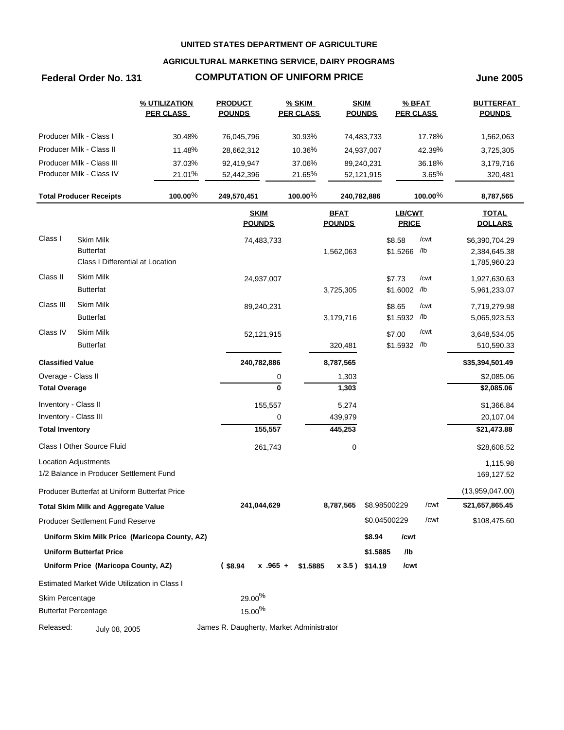## **AGRICULTURAL MARKETING SERVICE, DAIRY PROGRAMS**

## **Federal Order No. 131 COMPUTATION OF UNIFORM PRICE June 2005**

|                         |                                               | % UTILIZATION<br><b>PER CLASS</b>             | <b>PRODUCT</b><br><b>POUNDS</b>          |               | $%$ SKIM<br><b>PER CLASS</b> |                              | <b>SKIM</b><br><b>POUNDS</b> | % BFAT<br><b>PER CLASS</b>    |            | <b>BUTTERFAT</b><br><b>POUNDS</b> |
|-------------------------|-----------------------------------------------|-----------------------------------------------|------------------------------------------|---------------|------------------------------|------------------------------|------------------------------|-------------------------------|------------|-----------------------------------|
|                         | Producer Milk - Class I                       | 30.48%                                        | 76,045,796                               |               | 30.93%                       |                              | 74,483,733                   |                               | 17.78%     | 1,562,063                         |
|                         | Producer Milk - Class II                      | 11.48%                                        | 28,662,312                               |               | 10.36%                       |                              | 24,937,007                   |                               | 42.39%     | 3,725,305                         |
|                         | Producer Milk - Class III                     | 37.03%                                        | 92,419,947                               |               | 37.06%                       |                              | 89,240,231                   |                               | 36.18%     | 3,179,716                         |
|                         | Producer Milk - Class IV                      | 21.01%                                        | 52,442,396                               |               | 21.65%                       |                              | 52,121,915                   |                               | 3.65%      | 320,481                           |
|                         | <b>Total Producer Receipts</b>                | 100.00%                                       | 249,570,451                              |               | 100.00 $%$                   | 240,782,886                  |                              |                               | 100.00 $%$ | 8,787,565                         |
|                         |                                               |                                               | <b>SKIM</b><br><b>POUNDS</b>             |               |                              | <b>BFAT</b><br><b>POUNDS</b> |                              | <b>LB/CWT</b><br><b>PRICE</b> |            | <b>TOTAL</b><br><b>DOLLARS</b>    |
| Class I                 | <b>Skim Milk</b>                              |                                               |                                          | 74,483,733    |                              |                              |                              | \$8.58                        | /cwt       | \$6,390,704.29                    |
|                         | <b>Butterfat</b>                              |                                               |                                          |               |                              | 1,562,063                    |                              | \$1.5266 /lb                  |            | 2,384,645.38                      |
|                         | Class I Differential at Location              |                                               |                                          |               |                              |                              |                              |                               |            | 1,785,960.23                      |
| Class II                | Skim Milk                                     |                                               |                                          | 24,937,007    |                              |                              |                              | \$7.73                        | /cwt       | 1,927,630.63                      |
|                         | <b>Butterfat</b>                              |                                               |                                          |               |                              | 3,725,305                    |                              | \$1.6002                      | /lb        | 5,961,233.07                      |
| Class III               | Skim Milk                                     |                                               |                                          | 89,240,231    |                              |                              |                              | \$8.65                        | /cwt       | 7,719,279.98                      |
|                         | <b>Butterfat</b>                              |                                               |                                          |               |                              | 3,179,716                    |                              | \$1.5932                      | /lb        | 5,065,923.53                      |
| Class IV                | <b>Skim Milk</b>                              |                                               |                                          | 52,121,915    |                              |                              |                              | \$7.00                        | /cwt       | 3,648,534.05                      |
|                         | <b>Butterfat</b>                              |                                               |                                          |               |                              | 320,481                      |                              | \$1.5932 /lb                  |            | 510,590.33                        |
| <b>Classified Value</b> |                                               |                                               | 240,782,886                              |               |                              | 8,787,565                    |                              |                               |            | \$35,394,501.49                   |
| Overage - Class II      |                                               |                                               |                                          | 0             |                              | 1,303                        |                              |                               |            | \$2,085.06                        |
| <b>Total Overage</b>    |                                               |                                               |                                          | $\bf{0}$      |                              | 1,303                        |                              |                               |            | \$2,085.06                        |
| Inventory - Class II    |                                               |                                               |                                          | 155,557       |                              | 5,274                        |                              |                               |            | \$1,366.84                        |
| Inventory - Class III   |                                               |                                               |                                          | 0             |                              | 439,979                      |                              |                               |            | 20,107.04                         |
| <b>Total Inventory</b>  |                                               |                                               |                                          | 155,557       |                              | 445,253                      |                              |                               |            | \$21,473.88                       |
|                         | Class I Other Source Fluid                    |                                               |                                          | 261,743       |                              | 0                            |                              |                               |            | \$28,608.52                       |
|                         | <b>Location Adjustments</b>                   |                                               |                                          |               |                              |                              |                              |                               |            | 1,115.98                          |
|                         | 1/2 Balance in Producer Settlement Fund       |                                               |                                          |               |                              |                              |                              |                               |            | 169,127.52                        |
|                         | Producer Butterfat at Uniform Butterfat Price |                                               |                                          |               |                              |                              |                              |                               |            | (13,959,047.00)                   |
|                         | <b>Total Skim Milk and Aggregate Value</b>    |                                               | 241,044,629                              |               |                              | 8,787,565                    | \$8.98500229                 |                               | /cwt       | \$21,657,865.45                   |
|                         | <b>Producer Settlement Fund Reserve</b>       |                                               |                                          |               |                              |                              | \$0.04500229                 |                               | /cwt       | \$108,475.60                      |
|                         |                                               | Uniform Skim Milk Price (Maricopa County, AZ) |                                          |               |                              |                              | \$8.94                       | /cwt                          |            |                                   |
|                         | <b>Uniform Butterfat Price</b>                |                                               |                                          |               |                              |                              | \$1.5885                     | /lb                           |            |                                   |
|                         | Uniform Price (Maricopa County, AZ)           |                                               | $($ \$8.94                               | $x + 0.965 +$ | \$1.5885                     | $x 3.5$ ) \$14.19            |                              | /cwt                          |            |                                   |
|                         | Estimated Market Wide Utilization in Class I  |                                               |                                          |               |                              |                              |                              |                               |            |                                   |
| Skim Percentage         |                                               |                                               | 29.00%                                   |               |                              |                              |                              |                               |            |                                   |
|                         | <b>Butterfat Percentage</b>                   |                                               | $15.00\%$                                |               |                              |                              |                              |                               |            |                                   |
| Released:               | July 08, 2005                                 |                                               | James R. Daugherty, Market Administrator |               |                              |                              |                              |                               |            |                                   |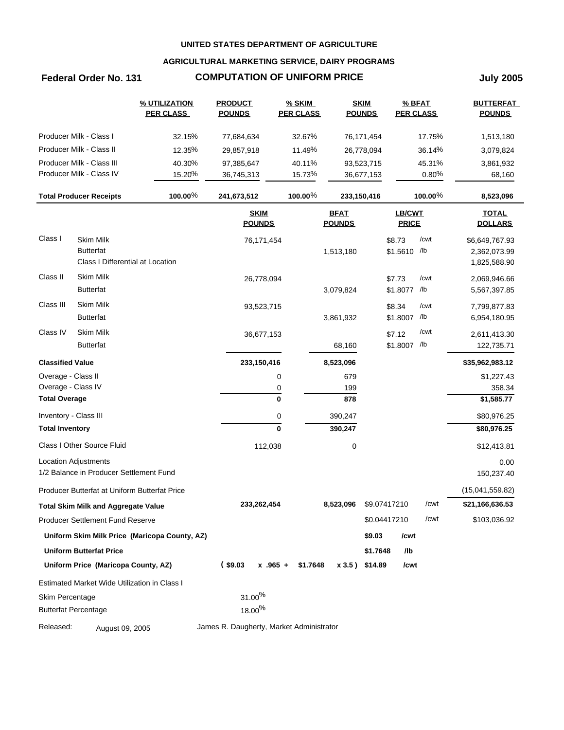## **AGRICULTURAL MARKETING SERVICE, DAIRY PROGRAMS**

# **Federal Order No. 131 COMPUTATION OF UNIFORM PRICE July 2005**

|                         |                                                                        | % UTILIZATION<br><b>PER CLASS</b>             | <b>PRODUCT</b><br><b>POUNDS</b>          | <b>% SKIM</b><br><b>PER CLASS</b> | <b>SKIM</b><br><b>POUNDS</b> |              | <b>PER CLASS</b>       | $%$ BFAT    | <b>BUTTERFAT</b><br><b>POUNDS</b> |
|-------------------------|------------------------------------------------------------------------|-----------------------------------------------|------------------------------------------|-----------------------------------|------------------------------|--------------|------------------------|-------------|-----------------------------------|
|                         | Producer Milk - Class I                                                | 32.15%                                        | 77,684,634                               | 32.67%                            |                              | 76,171,454   |                        | 17.75%      | 1,513,180                         |
|                         | Producer Milk - Class II                                               | 12.35%                                        | 29,857,918                               | 11.49%                            |                              | 26,778,094   |                        | 36.14%      | 3,079,824                         |
|                         | Producer Milk - Class III                                              | 40.30%                                        | 97,385,647                               | 40.11%                            |                              | 93,523,715   |                        | 45.31%      | 3,861,932                         |
|                         | Producer Milk - Class IV                                               | 15.20%                                        | 36,745,313                               | 15.73%                            |                              | 36,677,153   |                        | 0.80%       | 68,160                            |
|                         | <b>Total Producer Receipts</b>                                         | $100.00\%$                                    | 241,673,512                              | 100.00%                           | 233,150,416                  |              |                        | 100.00 $%$  | 8,523,096                         |
|                         |                                                                        |                                               | <b>SKIM</b><br><b>POUNDS</b>             |                                   | <b>BFAT</b><br><b>POUNDS</b> |              | LB/CWT<br><b>PRICE</b> |             | <b>TOTAL</b><br><b>DOLLARS</b>    |
| Class I                 | Skim Milk<br><b>Butterfat</b><br>Class I Differential at Location      |                                               | 76,171,454                               |                                   | 1,513,180                    |              | \$8.73<br>\$1.5610 /lb | /cwt        | \$6,649,767.93<br>2,362,073.99    |
|                         |                                                                        |                                               |                                          |                                   |                              |              |                        |             | 1,825,588.90                      |
| Class II                | <b>Skim Milk</b><br><b>Butterfat</b>                                   |                                               | 26,778,094                               |                                   | 3,079,824                    |              | \$7.73<br>\$1.8077     | /cwt<br>/lb | 2,069,946.66<br>5,567,397.85      |
| Class III               | Skim Milk<br><b>Butterfat</b>                                          |                                               | 93,523,715                               |                                   | 3,861,932                    |              | \$8.34<br>\$1.8007 /lb | /cwt        | 7,799,877.83<br>6,954,180.95      |
| Class IV                | Skim Milk                                                              |                                               | 36,677,153                               |                                   |                              |              | \$7.12                 | /cwt        | 2,611,413.30                      |
|                         | <b>Butterfat</b>                                                       |                                               |                                          |                                   | 68,160                       |              | \$1.8007 /lb           |             | 122,735.71                        |
| <b>Classified Value</b> |                                                                        |                                               | 233, 150, 416                            |                                   | 8,523,096                    |              |                        |             | \$35,962,983.12                   |
| Overage - Class II      |                                                                        |                                               |                                          | 0                                 | 679                          |              |                        |             | \$1,227.43                        |
| Overage - Class IV      |                                                                        |                                               |                                          | 0                                 | 199                          |              |                        |             | 358.34                            |
| <b>Total Overage</b>    |                                                                        |                                               |                                          | 0                                 | 878                          |              |                        |             | \$1,585.77                        |
| Inventory - Class III   |                                                                        |                                               |                                          | 0                                 | 390,247                      |              |                        |             | \$80,976.25                       |
| <b>Total Inventory</b>  |                                                                        |                                               |                                          | $\bf{0}$                          | 390,247                      |              |                        |             | \$80,976.25                       |
|                         | Class I Other Source Fluid                                             |                                               | 112,038                                  |                                   | 0                            |              |                        |             | \$12,413.81                       |
|                         | <b>Location Adjustments</b><br>1/2 Balance in Producer Settlement Fund |                                               |                                          |                                   |                              |              |                        |             | 0.00<br>150,237.40                |
|                         | Producer Butterfat at Uniform Butterfat Price                          |                                               |                                          |                                   |                              |              |                        |             | (15,041,559.82)                   |
|                         | <b>Total Skim Milk and Aggregate Value</b>                             |                                               | 233,262,454                              |                                   | 8,523,096                    | \$9.07417210 |                        | /cwt        | \$21,166,636.53                   |
|                         | <b>Producer Settlement Fund Reserve</b>                                |                                               |                                          |                                   |                              | \$0.04417210 |                        | /cwt        | \$103,036.92                      |
|                         |                                                                        | Uniform Skim Milk Price (Maricopa County, AZ) |                                          |                                   |                              | \$9.03       | /cwt                   |             |                                   |
|                         | <b>Uniform Butterfat Price</b>                                         |                                               |                                          |                                   |                              | \$1.7648     | /lb                    |             |                                   |
|                         | Uniform Price (Maricopa County, AZ)                                    |                                               | $($ \$9.03<br>$x .965 +$                 | \$1.7648                          | x 3.5) \$14.89               |              | /cwt                   |             |                                   |
|                         | Estimated Market Wide Utilization in Class I                           |                                               |                                          |                                   |                              |              |                        |             |                                   |
| Skim Percentage         |                                                                        |                                               | $31.00\%$                                |                                   |                              |              |                        |             |                                   |
|                         | <b>Butterfat Percentage</b>                                            |                                               | 18.00%                                   |                                   |                              |              |                        |             |                                   |
| Released:               | August 09, 2005                                                        |                                               | James R. Daugherty, Market Administrator |                                   |                              |              |                        |             |                                   |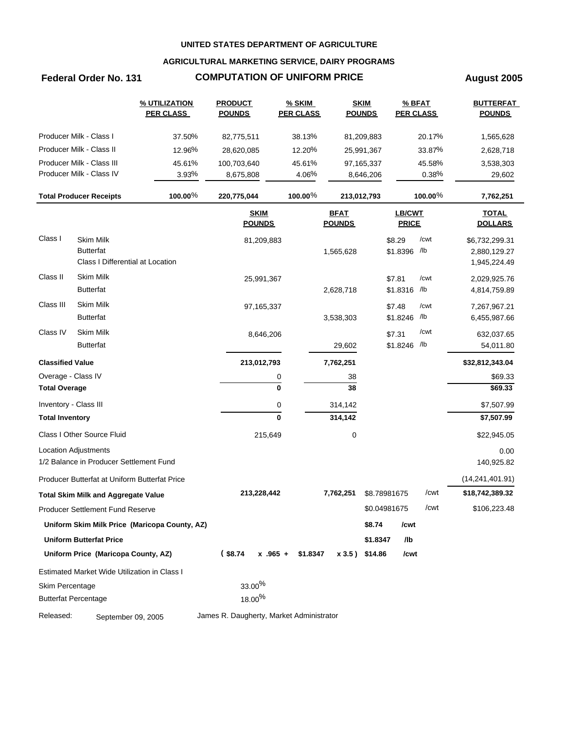## **AGRICULTURAL MARKETING SERVICE, DAIRY PROGRAMS**

# **Federal Order No. 131 COMPUTATION OF UNIFORM PRICE August 2005**

|                         |                                               | % UTILIZATION<br><b>PER CLASS</b>             | <b>PRODUCT</b><br><b>POUNDS</b>          | <b>% SKIM</b><br><b>PER CLASS</b> |                              | <b>SKIM</b><br><b>POUNDS</b> | % BFAT<br><b>PER CLASS</b> |            | <b>BUTTERFAT</b><br><b>POUNDS</b> |
|-------------------------|-----------------------------------------------|-----------------------------------------------|------------------------------------------|-----------------------------------|------------------------------|------------------------------|----------------------------|------------|-----------------------------------|
|                         | Producer Milk - Class I                       | 37.50%                                        | 82,775,511                               | 38.13%                            |                              | 81,209,883                   |                            | 20.17%     | 1,565,628                         |
|                         | Producer Milk - Class II                      | 12.96%                                        | 28,620,085                               | 12.20%                            |                              | 25,991,367                   |                            | 33.87%     | 2,628,718                         |
|                         | Producer Milk - Class III                     | 45.61%                                        | 100,703,640                              | 45.61%                            |                              | 97,165,337                   |                            | 45.58%     | 3,538,303                         |
|                         | Producer Milk - Class IV                      | 3.93%                                         | 8,675,808                                | 4.06%                             |                              | 8,646,206                    |                            | 0.38%      | 29,602                            |
|                         | <b>Total Producer Receipts</b>                | 100.00%                                       | 220,775,044                              | 100.00 $%$                        | 213,012,793                  |                              |                            | $100.00\%$ | 7,762,251                         |
|                         |                                               |                                               | <b>SKIM</b><br><b>POUNDS</b>             |                                   | <b>BFAT</b><br><b>POUNDS</b> |                              | LB/CWT<br><b>PRICE</b>     |            | <b>TOTAL</b><br><b>DOLLARS</b>    |
| Class I                 | <b>Skim Milk</b>                              |                                               | 81,209,883                               |                                   |                              |                              | \$8.29                     | /cwt       | \$6,732,299.31                    |
|                         | <b>Butterfat</b>                              |                                               |                                          |                                   | 1,565,628                    |                              | \$1.8396 /lb               |            | 2,880,129.27                      |
|                         | Class I Differential at Location              |                                               |                                          |                                   |                              |                              |                            |            | 1,945,224.49                      |
| Class II                | <b>Skim Milk</b>                              |                                               | 25,991,367                               |                                   |                              |                              | \$7.81                     | /cwt       | 2,029,925.76                      |
|                         | <b>Butterfat</b>                              |                                               |                                          |                                   | 2,628,718                    |                              | \$1.8316 /lb               |            | 4,814,759.89                      |
| Class III               | <b>Skim Milk</b>                              |                                               | 97,165,337                               |                                   |                              |                              | \$7.48                     | /cwt       | 7,267,967.21                      |
|                         | <b>Butterfat</b>                              |                                               |                                          |                                   | 3,538,303                    |                              | \$1.8246 /lb               |            | 6,455,987.66                      |
| Class IV                | <b>Skim Milk</b>                              |                                               | 8,646,206                                |                                   |                              |                              | \$7.31                     | /cwt       | 632,037.65                        |
|                         | <b>Butterfat</b>                              |                                               |                                          |                                   | 29,602                       |                              | \$1.8246 /lb               |            | 54,011.80                         |
| <b>Classified Value</b> |                                               |                                               | 213,012,793                              |                                   | 7,762,251                    |                              |                            |            | \$32,812,343.04                   |
| Overage - Class IV      |                                               |                                               |                                          | 0                                 | 38                           |                              |                            |            | \$69.33                           |
| <b>Total Overage</b>    |                                               |                                               |                                          | $\mathbf 0$                       | 38                           |                              |                            |            | \$69.33                           |
| Inventory - Class III   |                                               |                                               |                                          | 0                                 | 314,142                      |                              |                            |            | \$7,507.99                        |
| <b>Total Inventory</b>  |                                               |                                               |                                          | $\mathbf{0}$                      | 314,142                      |                              |                            |            | \$7,507.99                        |
|                         | Class I Other Source Fluid                    |                                               | 215,649                                  |                                   | 0                            |                              |                            |            | \$22,945.05                       |
|                         | Location Adjustments                          |                                               |                                          |                                   |                              |                              |                            |            | 0.00                              |
|                         | 1/2 Balance in Producer Settlement Fund       |                                               |                                          |                                   |                              |                              |                            |            | 140,925.82                        |
|                         | Producer Butterfat at Uniform Butterfat Price |                                               |                                          |                                   |                              |                              |                            |            | (14, 241, 401.91)                 |
|                         | <b>Total Skim Milk and Aggregate Value</b>    |                                               | 213,228,442                              |                                   | 7,762,251                    | \$8.78981675                 |                            | /cwt       | \$18,742,389.32                   |
|                         | Producer Settlement Fund Reserve              |                                               |                                          |                                   |                              |                              | \$0.04981675               | /cwt       | \$106,223.48                      |
|                         |                                               | Uniform Skim Milk Price (Maricopa County, AZ) |                                          |                                   |                              | \$8.74                       | /cwt                       |            |                                   |
|                         | <b>Uniform Butterfat Price</b>                |                                               |                                          |                                   |                              | \$1.8347                     | /lb                        |            |                                   |
|                         | Uniform Price (Maricopa County, AZ)           |                                               | $(*8.74)$                                | $x$ .965 + \$1.8347               | x 3.5) \$14.86               |                              | /cwt                       |            |                                   |
|                         | Estimated Market Wide Utilization in Class I  |                                               |                                          |                                   |                              |                              |                            |            |                                   |
| Skim Percentage         |                                               |                                               | $33.00\%$                                |                                   |                              |                              |                            |            |                                   |
|                         | <b>Butterfat Percentage</b>                   |                                               | 18.00 <sup>%</sup>                       |                                   |                              |                              |                            |            |                                   |
| Released:               | September 09, 2005                            |                                               | James R. Daugherty, Market Administrator |                                   |                              |                              |                            |            |                                   |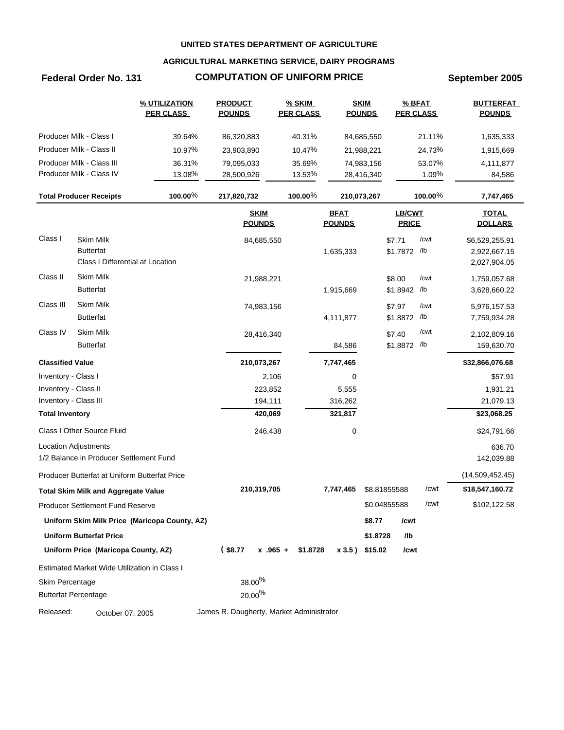## **AGRICULTURAL MARKETING SERVICE, DAIRY PROGRAMS**

# **Federal Order No. 131 COMPUTATION OF UNIFORM PRICE September 2005**

|                         |                                               | % UTILIZATION<br><b>PER CLASS</b>             | <b>PRODUCT</b><br><b>POUNDS</b>          | <b>% SKIM</b><br><b>PER CLASS</b> |                              | <b>SKIM</b><br><b>POUNDS</b> | <b>PER CLASS</b>              | % BFAT     | <b>BUTTERFAT</b><br><b>POUNDS</b> |
|-------------------------|-----------------------------------------------|-----------------------------------------------|------------------------------------------|-----------------------------------|------------------------------|------------------------------|-------------------------------|------------|-----------------------------------|
|                         | Producer Milk - Class I                       | 39.64%                                        | 86,320,883                               | 40.31%                            |                              | 84,685,550                   |                               | 21.11%     | 1,635,333                         |
|                         | Producer Milk - Class II                      | 10.97%                                        | 23,903,890                               | 10.47%                            |                              | 21,988,221                   |                               | 24.73%     | 1,915,669                         |
|                         | Producer Milk - Class III                     | 36.31%                                        | 79,095,033                               | 35.69%                            |                              | 74,983,156                   |                               | 53.07%     | 4,111,877                         |
|                         | Producer Milk - Class IV                      | 13.08%                                        | 28,500,926                               | 13.53%                            |                              | 28,416,340                   |                               | 1.09%      | 84,586                            |
|                         | <b>Total Producer Receipts</b>                | 100.00%                                       | 217,820,732                              | 100.00 $%$                        |                              | 210,073,267                  |                               | $100.00\%$ | 7,747,465                         |
|                         |                                               |                                               | <b>SKIM</b><br><b>POUNDS</b>             |                                   | <b>BFAT</b><br><b>POUNDS</b> |                              | <b>LB/CWT</b><br><b>PRICE</b> |            | <b>TOTAL</b><br><b>DOLLARS</b>    |
| Class I                 | <b>Skim Milk</b>                              |                                               |                                          |                                   |                              |                              |                               | /cwt       |                                   |
|                         | <b>Butterfat</b>                              |                                               | 84,685,550                               |                                   | 1,635,333                    |                              | \$7.71<br>\$1.7872 /lb        |            | \$6,529,255.91<br>2,922,667.15    |
|                         | Class I Differential at Location              |                                               |                                          |                                   |                              |                              |                               |            | 2,027,904.05                      |
| Class II                | Skim Milk                                     |                                               |                                          |                                   |                              |                              |                               |            |                                   |
|                         | <b>Butterfat</b>                              |                                               | 21,988,221                               |                                   | 1,915,669                    |                              | \$8.00<br>\$1.8942 /b         | /cwt       | 1,759,057.68<br>3,628,660.22      |
| Class III               | Skim Milk                                     |                                               | 74,983,156                               |                                   |                              |                              | \$7.97                        | /cwt       | 5,976,157.53                      |
|                         | <b>Butterfat</b>                              |                                               |                                          |                                   | 4,111,877                    |                              | \$1.8872 /lb                  |            | 7,759,934.28                      |
| Class IV                | Skim Milk                                     |                                               | 28,416,340                               |                                   |                              |                              | \$7.40                        | /cwt       | 2,102,809.16                      |
|                         | <b>Butterfat</b>                              |                                               |                                          |                                   | 84,586                       |                              | \$1.8872 /lb                  |            | 159,630.70                        |
| <b>Classified Value</b> |                                               |                                               | 210,073,267                              |                                   | 7,747,465                    |                              |                               |            | \$32,866,076.68                   |
| Inventory - Class I     |                                               |                                               | 2,106                                    |                                   | 0                            |                              |                               |            | \$57.91                           |
| Inventory - Class II    |                                               |                                               | 223,852                                  |                                   | 5,555                        |                              |                               |            | 1,931.21                          |
| Inventory - Class III   |                                               |                                               | 194,111                                  |                                   | 316,262                      |                              |                               |            | 21,079.13                         |
| <b>Total Inventory</b>  |                                               |                                               | 420,069                                  |                                   | 321,817                      |                              |                               |            | \$23,068.25                       |
|                         | Class I Other Source Fluid                    |                                               | 246,438                                  |                                   | 0                            |                              |                               |            | \$24,791.66                       |
|                         | <b>Location Adjustments</b>                   |                                               |                                          |                                   |                              |                              |                               |            | 636.70                            |
|                         | 1/2 Balance in Producer Settlement Fund       |                                               |                                          |                                   |                              |                              |                               |            | 142,039.88                        |
|                         | Producer Butterfat at Uniform Butterfat Price |                                               |                                          |                                   |                              |                              |                               |            | (14,509,452.45)                   |
|                         | <b>Total Skim Milk and Aggregate Value</b>    |                                               | 210,319,705                              |                                   | 7,747,465                    |                              | \$8.81855588                  | /cwt       | \$18,547,160.72                   |
|                         | Producer Settlement Fund Reserve              |                                               |                                          |                                   |                              |                              | \$0.04855588                  | /cwt       | \$102,122.58                      |
|                         |                                               | Uniform Skim Milk Price (Maricopa County, AZ) |                                          |                                   |                              | \$8.77                       | /cwt                          |            |                                   |
|                         | <b>Uniform Butterfat Price</b>                |                                               |                                          |                                   |                              | \$1.8728                     | /lb                           |            |                                   |
|                         | Uniform Price (Maricopa County, AZ)           |                                               | $(*8.77)$                                | $x.965 +$<br>\$1.8728             | x 3.5) \$15.02               |                              | /cwt                          |            |                                   |
|                         | Estimated Market Wide Utilization in Class I  |                                               |                                          |                                   |                              |                              |                               |            |                                   |
| Skim Percentage         |                                               |                                               | 38.00%                                   |                                   |                              |                              |                               |            |                                   |
|                         | <b>Butterfat Percentage</b>                   |                                               | $20.00\%$                                |                                   |                              |                              |                               |            |                                   |
| Released:               | October 07, 2005                              |                                               | James R. Daugherty, Market Administrator |                                   |                              |                              |                               |            |                                   |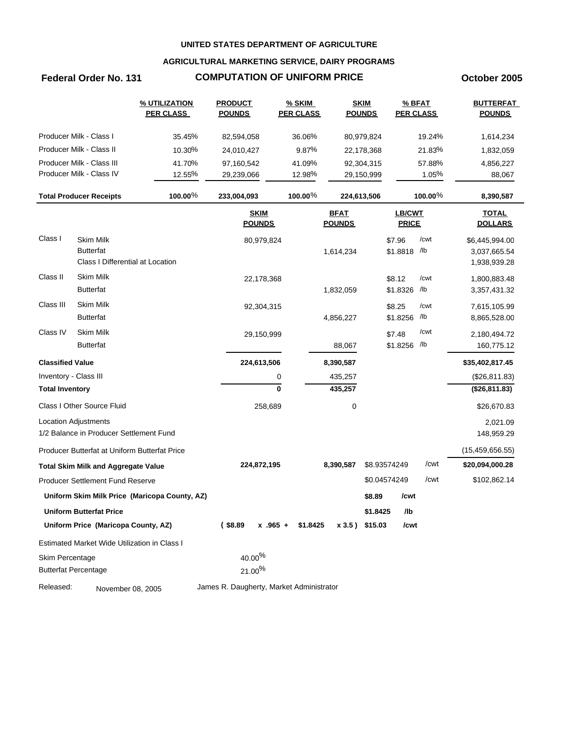## **AGRICULTURAL MARKETING SERVICE, DAIRY PROGRAMS**

## **Federal Order No. 131 COMPUTATION OF UNIFORM PRICE October 2005**

|                         |                                               | % UTILIZATION<br><b>PER CLASS</b>             | <b>PRODUCT</b><br><b>POUNDS</b>          | <b>% SKIM</b><br><b>PER CLASS</b> |                              | <b>SKIM</b><br><b>POUNDS</b> | % BFAT<br><b>PER CLASS</b>    |             | <b>BUTTERFAT</b><br><b>POUNDS</b> |
|-------------------------|-----------------------------------------------|-----------------------------------------------|------------------------------------------|-----------------------------------|------------------------------|------------------------------|-------------------------------|-------------|-----------------------------------|
|                         | Producer Milk - Class I                       | 35.45%                                        | 82,594,058                               | 36.06%                            |                              | 80,979,824                   |                               | 19.24%      | 1,614,234                         |
|                         | Producer Milk - Class II                      | 10.30%                                        | 24,010,427                               | 9.87%                             |                              | 22,178,368                   |                               | 21.83%      | 1,832,059                         |
|                         | Producer Milk - Class III                     | 41.70%                                        | 97,160,542                               | 41.09%                            |                              | 92,304,315                   |                               | 57.88%      | 4,856,227                         |
|                         | Producer Milk - Class IV                      | 12.55%                                        | 29,239,066                               | 12.98%                            |                              | 29,150,999                   |                               | 1.05%       | 88,067                            |
|                         | <b>Total Producer Receipts</b>                | 100.00%                                       | 233,004,093                              | 100.00 $%$                        |                              | 224,613,506                  |                               | $100.00\%$  | 8,390,587                         |
|                         |                                               |                                               | <b>SKIM</b><br><b>POUNDS</b>             |                                   | <b>BFAT</b><br><b>POUNDS</b> |                              | <b>LB/CWT</b><br><b>PRICE</b> |             | <b>TOTAL</b><br><b>DOLLARS</b>    |
| Class I                 | Skim Milk<br><b>Butterfat</b>                 |                                               | 80,979,824                               |                                   | 1,614,234                    |                              | \$7.96<br>\$1.8818 /lb        | /cwt        | \$6,445,994.00<br>3,037,665.54    |
|                         | Class I Differential at Location              |                                               |                                          |                                   |                              |                              |                               |             | 1,938,939.28                      |
| Class II                | <b>Skim Milk</b><br><b>Butterfat</b>          |                                               | 22,178,368                               |                                   | 1,832,059                    |                              | \$8.12<br>\$1.8326            | /cwt<br>/lb | 1,800,883.48<br>3,357,431.32      |
| Class III               | <b>Skim Milk</b><br><b>Butterfat</b>          |                                               | 92,304,315                               |                                   | 4,856,227                    |                              | \$8.25<br>\$1.8256            | /cwt<br>/lb | 7,615,105.99<br>8,865,528.00      |
| Class IV                | Skim Milk<br><b>Butterfat</b>                 |                                               | 29,150,999                               |                                   | 88,067                       |                              | \$7.48<br>\$1.8256 /lb        | /cwt        | 2,180,494.72<br>160,775.12        |
| <b>Classified Value</b> |                                               |                                               | 224,613,506                              |                                   | 8,390,587                    |                              |                               |             | \$35,402,817.45                   |
| Inventory - Class III   |                                               |                                               |                                          | 0                                 | 435,257                      |                              |                               |             | (\$26,811.83)                     |
| <b>Total Inventory</b>  |                                               |                                               |                                          | 0                                 | 435,257                      |                              |                               |             | (\$26,811.83)                     |
|                         | Class I Other Source Fluid                    |                                               | 258,689                                  |                                   | 0                            |                              |                               |             | \$26,670.83                       |
|                         | <b>Location Adjustments</b>                   |                                               |                                          |                                   |                              |                              |                               |             | 2,021.09                          |
|                         | 1/2 Balance in Producer Settlement Fund       |                                               |                                          |                                   |                              |                              |                               |             | 148,959.29                        |
|                         | Producer Butterfat at Uniform Butterfat Price |                                               |                                          |                                   |                              |                              |                               |             | (15, 459, 656.55)                 |
|                         | <b>Total Skim Milk and Aggregate Value</b>    |                                               | 224,872,195                              |                                   | 8,390,587                    |                              | \$8.93574249                  | /cwt        | \$20,094,000.28                   |
|                         | Producer Settlement Fund Reserve              |                                               |                                          |                                   |                              |                              | \$0.04574249                  | /cwt        | \$102,862.14                      |
|                         |                                               | Uniform Skim Milk Price (Maricopa County, AZ) |                                          |                                   |                              | \$8.89                       | /cwt                          |             |                                   |
|                         | Uniform Butterfat Price                       |                                               |                                          |                                   |                              | \$1.8425                     | /lb                           |             |                                   |
|                         | Uniform Price (Maricopa County, AZ)           |                                               | $($ \$8.89<br>$x - 965 +$                | \$1.8425                          |                              | x 3.5) \$15.03               | /cwt                          |             |                                   |
|                         | Estimated Market Wide Utilization in Class I  |                                               |                                          |                                   |                              |                              |                               |             |                                   |
| Skim Percentage         |                                               |                                               | 40.00%                                   |                                   |                              |                              |                               |             |                                   |
|                         | <b>Butterfat Percentage</b>                   |                                               | 21.00%                                   |                                   |                              |                              |                               |             |                                   |
| Released:               | November 08, 2005                             |                                               | James R. Daugherty, Market Administrator |                                   |                              |                              |                               |             |                                   |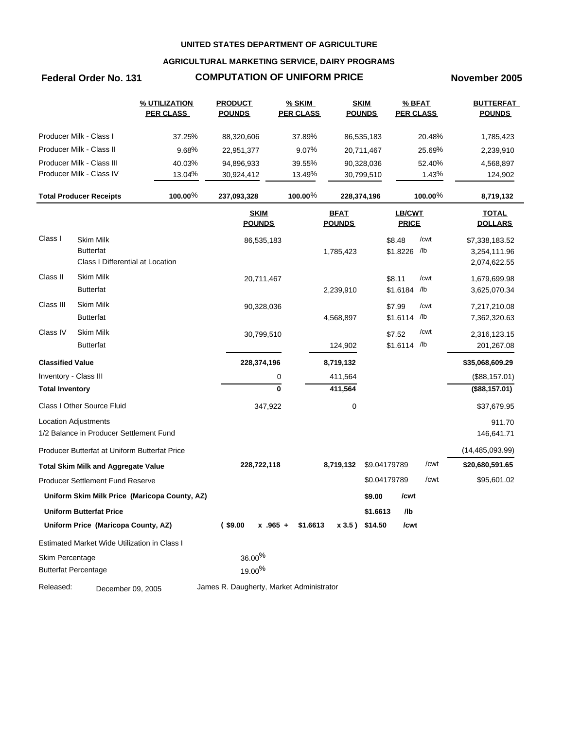## **AGRICULTURAL MARKETING SERVICE, DAIRY PROGRAMS**

## **Federal Order No. 131 COMPUTATION OF UNIFORM PRICE November 2005**

|                         |                                                                          | % UTILIZATION<br><b>PER CLASS</b>             | <b>PRODUCT</b><br><b>POUNDS</b>          | <b>% SKIM</b><br><b>PER CLASS</b> |                              | <b>SKIM</b><br><b>POUNDS</b> | <b>PER CLASS</b>              | % BFAT      | <b>BUTTERFAT</b><br><b>POUNDS</b>              |
|-------------------------|--------------------------------------------------------------------------|-----------------------------------------------|------------------------------------------|-----------------------------------|------------------------------|------------------------------|-------------------------------|-------------|------------------------------------------------|
|                         | Producer Milk - Class I                                                  | 37.25%                                        | 88,320,606                               | 37.89%                            |                              | 86,535,183                   |                               | 20.48%      | 1,785,423                                      |
|                         | Producer Milk - Class II                                                 | 9.68%                                         | 22,951,377                               | 9.07%                             |                              | 20,711,467                   |                               | 25.69%      | 2,239,910                                      |
|                         | Producer Milk - Class III                                                | 40.03%                                        | 94,896,933                               | 39.55%                            |                              | 90,328,036                   |                               | 52.40%      | 4,568,897                                      |
|                         | Producer Milk - Class IV                                                 | 13.04%                                        | 30,924,412                               | 13.49%                            |                              | 30,799,510                   |                               | 1.43%       | 124,902                                        |
|                         | <b>Total Producer Receipts</b>                                           | 100.00%                                       | 237,093,328                              | 100.00 $%$                        |                              | 228,374,196                  |                               | $100.00\%$  | 8,719,132                                      |
|                         |                                                                          |                                               | <b>SKIM</b><br><b>POUNDS</b>             |                                   | <b>BFAT</b><br><b>POUNDS</b> |                              | <b>LB/CWT</b><br><b>PRICE</b> |             | <b>TOTAL</b><br><b>DOLLARS</b>                 |
| Class I                 | <b>Skim Milk</b><br><b>Butterfat</b><br>Class I Differential at Location |                                               | 86,535,183                               |                                   | 1,785,423                    |                              | \$8.48<br>\$1.8226 /lb        | /cwt        | \$7,338,183.52<br>3,254,111.96<br>2,074,622.55 |
| Class II                | <b>Skim Milk</b><br><b>Butterfat</b>                                     |                                               | 20,711,467                               |                                   | 2,239,910                    |                              | \$8.11<br>\$1.6184            | /cwt<br>/lb | 1,679,699.98<br>3,625,070.34                   |
| Class III               | Skim Milk<br><b>Butterfat</b>                                            |                                               | 90,328,036                               |                                   | 4,568,897                    |                              | \$7.99<br>\$1.6114 /lb        | /cwt        | 7,217,210.08<br>7,362,320.63                   |
| Class IV                | Skim Milk<br><b>Butterfat</b>                                            |                                               | 30,799,510                               |                                   | 124,902                      |                              | \$7.52<br>\$1.6114 /lb        | /cwt        | 2,316,123.15<br>201,267.08                     |
| <b>Classified Value</b> |                                                                          |                                               | 228,374,196                              |                                   | 8,719,132                    |                              |                               |             | \$35,068,609.29                                |
| Inventory - Class III   |                                                                          |                                               |                                          | 0                                 | 411,564                      |                              |                               |             | (\$88,157.01)                                  |
| <b>Total Inventory</b>  |                                                                          |                                               |                                          | $\bf{0}$                          | 411,564                      |                              |                               |             | (\$88,157.01)                                  |
|                         | Class I Other Source Fluid                                               |                                               | 347,922                                  |                                   | 0                            |                              |                               |             | \$37,679.95                                    |
|                         | <b>Location Adjustments</b><br>1/2 Balance in Producer Settlement Fund   |                                               |                                          |                                   |                              |                              |                               |             | 911.70<br>146,641.71                           |
|                         | Producer Butterfat at Uniform Butterfat Price                            |                                               |                                          |                                   |                              |                              |                               |             | (14, 485, 093.99)                              |
|                         | <b>Total Skim Milk and Aggregate Value</b>                               |                                               | 228,722,118                              |                                   | 8,719,132                    | \$9.04179789                 |                               | /cwt        | \$20,680,591.65                                |
|                         | Producer Settlement Fund Reserve                                         |                                               |                                          |                                   |                              |                              | \$0.04179789                  | /cwt        | \$95,601.02                                    |
|                         |                                                                          | Uniform Skim Milk Price (Maricopa County, AZ) |                                          |                                   |                              | \$9.00                       | /cwt                          |             |                                                |
|                         | <b>Uniform Butterfat Price</b>                                           |                                               |                                          |                                   |                              | \$1.6613                     | /lb                           |             |                                                |
|                         | Uniform Price (Maricopa County, AZ)                                      |                                               | $($ \$9.00<br>$x$ .965 +                 | \$1.6613                          |                              | x 3.5) \$14.50               | /cwt                          |             |                                                |
|                         | Estimated Market Wide Utilization in Class I                             |                                               |                                          |                                   |                              |                              |                               |             |                                                |
| Skim Percentage         |                                                                          |                                               | 36.00%                                   |                                   |                              |                              |                               |             |                                                |
|                         | <b>Butterfat Percentage</b>                                              |                                               | $19.00\%$                                |                                   |                              |                              |                               |             |                                                |
| Released:               | December 09, 2005                                                        |                                               | James R. Daugherty, Market Administrator |                                   |                              |                              |                               |             |                                                |